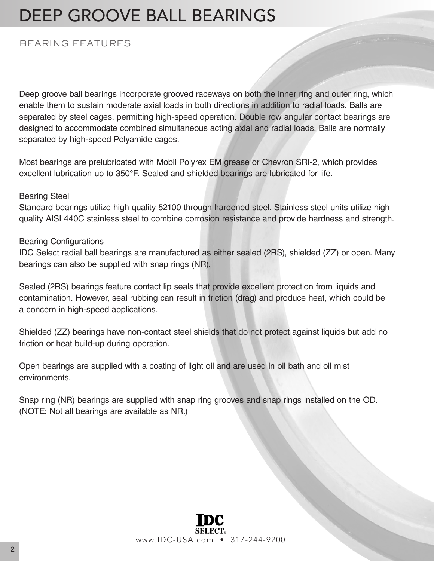### DEEP GROOVE BALL BEARINGS

#### BEARING FEATURES

Deep groove ball bearings incorporate grooved raceways on both the inner ring and outer ring, which enable them to sustain moderate axial loads in both directions in addition to radial loads. Balls are separated by steel cages, permitting high-speed operation. Double row angular contact bearings are designed to accommodate combined simultaneous acting axial and radial loads. Balls are normally separated by high-speed Polyamide cages.

Most bearings are prelubricated with Mobil Polyrex EM grease or Chevron SRI-2, which provides excellent lubrication up to 350°F. Sealed and shielded bearings are lubricated for life.

#### Bearing Steel

Standard bearings utilize high quality 52100 through hardened steel. Stainless steel units utilize high quality AISI 440C stainless steel to combine corrosion resistance and provide hardness and strength.

#### Bearing Configurations

IDC Select radial ball bearings are manufactured as either sealed (2RS), shielded (ZZ) or open. Many bearings can also be supplied with snap rings (NR).

Sealed (2RS) bearings feature contact lip seals that provide excellent protection from liquids and contamination. However, seal rubbing can result in friction (drag) and produce heat, which could be a concern in high-speed applications.

Shielded (ZZ) bearings have non-contact steel shields that do not protect against liquids but add no friction or heat build-up during operation.

Open bearings are supplied with a coating of light oil and are used in oil bath and oil mist environments.

Snap ring (NR) bearings are supplied with snap ring grooves and snap rings installed on the OD. (NOTE: Not all bearings are available as NR.)

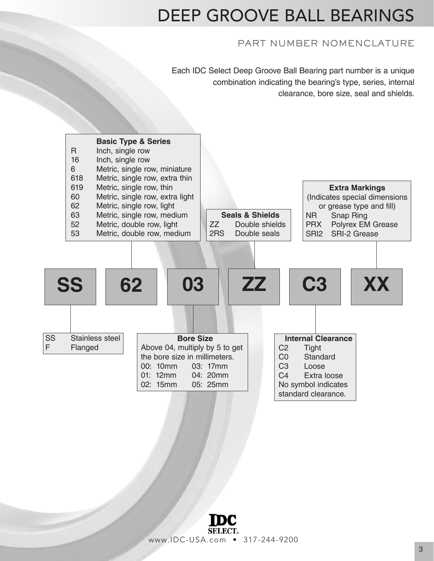### DEEP GROOVE BALL BEARINGS

#### PART NUMBER NOMENCLATURE

Each IDC Select Deep Groove Ball Bearing part number is a unique combination indicating the bearing's type, series, internal clearance, bore size, seal and shields.



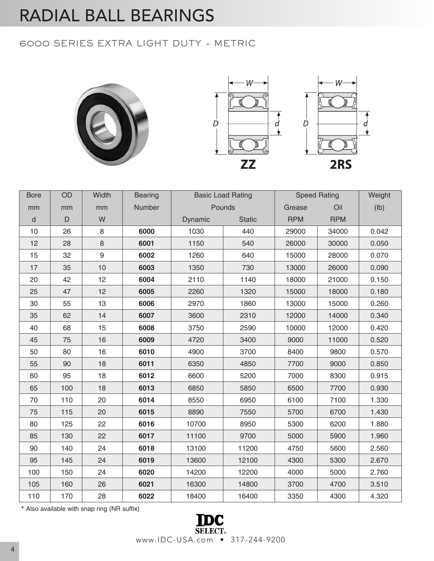### 6000 SERIES EXTRA LIGHT DUTY - METRIC





\* Also available with snap ring (NR suffix)

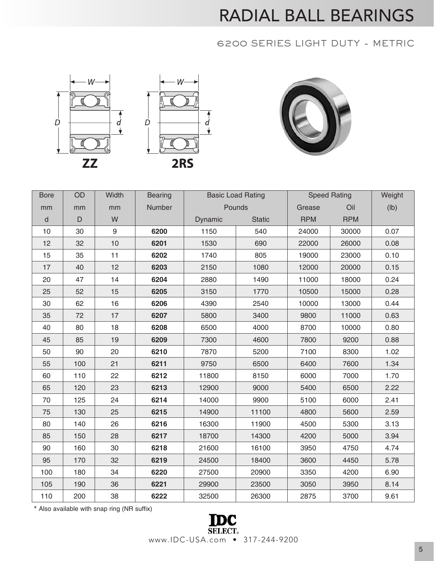### 6200 SERIES LIGHT DUTY - METRIC





| <b>Bore</b> | OD           | Width | <b>Bearing</b> |         | <b>Basic Load Rating</b> |            | <b>Speed Rating</b> | Weight |
|-------------|--------------|-------|----------------|---------|--------------------------|------------|---------------------|--------|
| mm          | mm           | mm    | Number         |         | Pounds                   | Grease     | Oil                 | (Ib)   |
| $\sf d$     | $\mathsf{D}$ | W     |                | Dynamic | <b>Static</b>            | <b>RPM</b> | <b>RPM</b>          |        |
| 10          | 30           | 9     | 6200           | 1150    | 540                      | 24000      | 30000               | 0.07   |
| 12          | 32           | 10    | 6201           | 1530    | 690                      | 22000      | 26000               | 0.08   |
| 15          | 35           | 11    | 6202           | 1740    | 805                      | 19000      | 23000               | 0.10   |
| 17          | 40           | 12    | 6203           | 2150    | 1080                     | 12000      | 20000               | 0.15   |
| 20          | 47           | 14    | 6204           | 2880    | 1490                     | 11000      | 18000               | 0.24   |
| 25          | 52           | 15    | 6205           | 3150    | 1770                     | 10500      | 15000               | 0.28   |
| 30          | 62           | 16    | 6206           | 4390    | 2540                     | 10000      | 13000               | 0.44   |
| 35          | 72           | 17    | 6207           | 5800    | 3400                     | 9800       | 11000               | 0.63   |
| 40          | 80           | 18    | 6208           | 6500    | 4000                     | 8700       | 10000               | 0.80   |
| 45          | 85           | 19    | 6209           | 7300    | 4600                     | 7800       | 9200                | 0.88   |
| 50          | 90           | 20    | 6210           | 7870    | 5200                     | 7100       | 8300                | 1.02   |
| 55          | 100          | 21    | 6211           | 9750    | 6500                     | 6400       | 7600                | 1.34   |
| 60          | 110          | 22    | 6212           | 11800   | 8150                     | 6000       | 7000                | 1.70   |
| 65          | 120          | 23    | 6213           | 12900   | 9000                     | 5400       | 6500                | 2.22   |
| 70          | 125          | 24    | 6214           | 14000   | 9900                     | 5100       | 6000                | 2.41   |
| 75          | 130          | 25    | 6215           | 14900   | 11100                    | 4800       | 5600                | 2.59   |
| 80          | 140          | 26    | 6216           | 16300   | 11900                    | 4500       | 5300                | 3.13   |
| 85          | 150          | 28    | 6217           | 18700   | 14300                    | 4200       | 5000                | 3.94   |
| 90          | 160          | 30    | 6218           | 21600   | 16100                    | 3950       | 4750                | 4.74   |
| 95          | 170          | 32    | 6219           | 24500   | 18400                    | 3600       | 4450                | 5.78   |
| 100         | 180          | 34    | 6220           | 27500   | 20900                    | 3350       | 4200                | 6.90   |
| 105         | 190          | 36    | 6221           | 29900   | 23500                    | 3050       | 3950                | 8.14   |
| 110         | 200          | 38    | 6222           | 32500   | 26300                    | 2875       | 3700                | 9.61   |

\* Also available with snap ring (NR suffix)

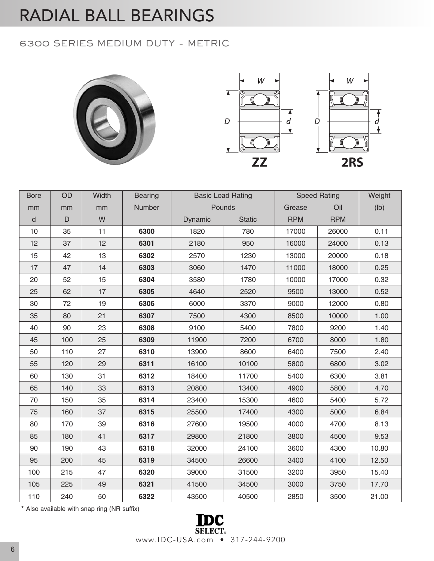#### 6300 SERIES MEDIUM DUTY - METRIC





| <b>Bore</b>  | OD          | Width | <b>Bearing</b> |         | <b>Basic Load Rating</b> |            | <b>Speed Rating</b> | Weight |
|--------------|-------------|-------|----------------|---------|--------------------------|------------|---------------------|--------|
| mm           | mm          | mm    | Number         |         | Pounds                   | Grease     | Oil                 | (Ib)   |
| $\mathsf{d}$ | $\mathsf D$ | W     |                | Dynamic | <b>Static</b>            | <b>RPM</b> | <b>RPM</b>          |        |
| 10           | 35          | 11    | 6300           | 1820    | 780                      | 17000      | 26000               | 0.11   |
| 12           | 37          | 12    | 6301           | 2180    | 950                      | 16000      | 24000               | 0.13   |
| 15           | 42          | 13    | 6302           | 2570    | 1230                     | 13000      | 20000               | 0.18   |
| 17           | 47          | 14    | 6303           | 3060    | 1470                     | 11000      | 18000               | 0.25   |
| 20           | 52          | 15    | 6304           | 3580    | 1780                     | 10000      | 17000               | 0.32   |
| 25           | 62          | 17    | 6305           | 4640    | 2520                     | 9500       | 13000               | 0.52   |
| 30           | 72          | 19    | 6306           | 6000    | 3370                     | 9000       | 12000               | 0.80   |
| 35           | 80          | 21    | 6307           | 7500    | 4300                     | 8500       | 10000               | 1.00   |
| 40           | 90          | 23    | 6308           | 9100    | 5400                     | 7800       | 9200                | 1.40   |
| 45           | 100         | 25    | 6309           | 11900   | 7200                     | 6700       | 8000                | 1.80   |
| 50           | 110         | 27    | 6310           | 13900   | 8600                     | 6400       | 7500                | 2.40   |
| 55           | 120         | 29    | 6311           | 16100   | 10100                    | 5800       | 6800                | 3.02   |
| 60           | 130         | 31    | 6312           | 18400   | 11700                    | 5400       | 6300                | 3.81   |
| 65           | 140         | 33    | 6313           | 20800   | 13400                    | 4900       | 5800                | 4.70   |
| 70           | 150         | 35    | 6314           | 23400   | 15300                    | 4600       | 5400                | 5.72   |
| 75           | 160         | 37    | 6315           | 25500   | 17400                    | 4300       | 5000                | 6.84   |
| 80           | 170         | 39    | 6316           | 27600   | 19500                    | 4000       | 4700                | 8.13   |
| 85           | 180         | 41    | 6317           | 29800   | 21800                    | 3800       | 4500                | 9.53   |
| 90           | 190         | 43    | 6318           | 32000   | 24100                    | 3600       | 4300                | 10.80  |
| 95           | 200         | 45    | 6319           | 34500   | 26600                    | 3400       | 4100                | 12.50  |
| 100          | 215         | 47    | 6320           | 39000   | 31500                    | 3200       | 3950                | 15.40  |
| 105          | 225         | 49    | 6321           | 41500   | 34500                    | 3000       | 3750                | 17.70  |
| 110          | 240         | 50    | 6322           | 43500   | 40500                    | 2850       | 3500                | 21.00  |

\* Also available with snap ring (NR suffix)

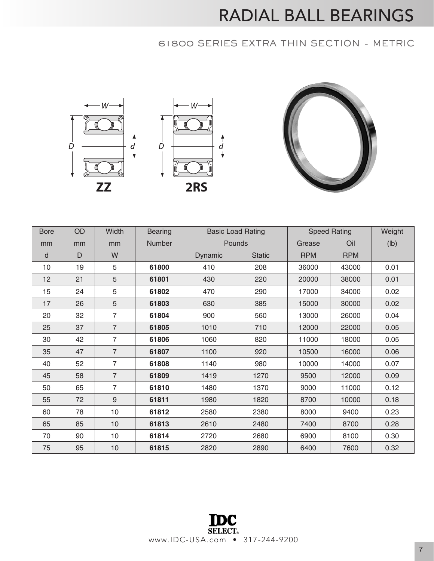### 61800 SERIES EXTRA THIN SECTION - METRIC



| <b>Bore</b> | OD | Width          | <b>Bearing</b> |         | <b>Basic Load Rating</b> |            | <b>Speed Rating</b> | Weight |
|-------------|----|----------------|----------------|---------|--------------------------|------------|---------------------|--------|
| mm          | mm | mm             | <b>Number</b>  |         | Pounds                   | Grease     | Oil                 | (lb)   |
| d           | D  | W              |                | Dynamic | <b>Static</b>            | <b>RPM</b> | <b>RPM</b>          |        |
| 10          | 19 | 5              | 61800          | 410     | 208                      | 36000      | 43000               | 0.01   |
| 12          | 21 | 5              | 61801          | 430     | 220                      | 20000      | 38000               | 0.01   |
| 15          | 24 | 5              | 61802          | 470     | 290                      | 17000      | 34000               | 0.02   |
| 17          | 26 | 5              | 61803          | 630     | 385                      | 15000      | 30000               | 0.02   |
| 20          | 32 | $\overline{7}$ | 61804          | 900     | 560                      | 13000      | 26000               | 0.04   |
| 25          | 37 | $\overline{7}$ | 61805          | 1010    | 710                      | 12000      | 22000               | 0.05   |
| 30          | 42 | 7              | 61806          | 1060    | 820                      | 11000      | 18000               | 0.05   |
| 35          | 47 | $\overline{7}$ | 61807          | 1100    | 920                      | 10500      | 16000               | 0.06   |
| 40          | 52 | $\overline{7}$ | 61808          | 1140    | 980                      | 10000      | 14000               | 0.07   |
| 45          | 58 | $\overline{7}$ | 61809          | 1419    | 1270                     | 9500       | 12000               | 0.09   |
| 50          | 65 | $\overline{7}$ | 61810          | 1480    | 1370                     | 9000       | 11000               | 0.12   |
| 55          | 72 | 9              | 61811          | 1980    | 1820                     | 8700       | 10000               | 0.18   |
| 60          | 78 | 10             | 61812          | 2580    | 2380                     | 8000       | 9400                | 0.23   |
| 65          | 85 | 10             | 61813          | 2610    | 2480                     | 7400       | 8700                | 0.28   |
| 70          | 90 | 10             | 61814          | 2720    | 2680                     | 6900       | 8100                | 0.30   |
| 75          | 95 | 10             | 61815          | 2820    | 2890                     | 6400       | 7600                | 0.32   |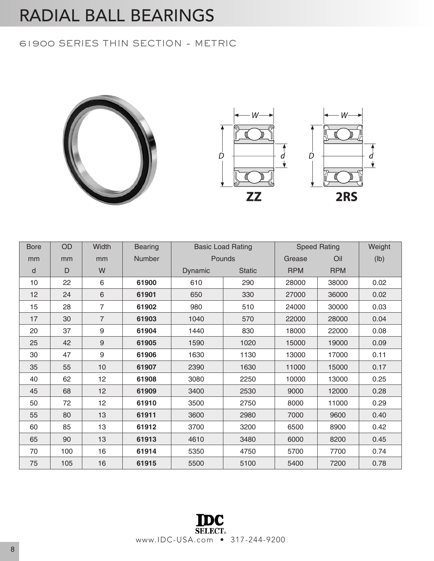#### 61900 SERIES THIN SECTION - METRIC





| <b>Bore</b> | OD           | Width          | <b>Bearing</b> |         | <b>Basic Load Rating</b> |            | <b>Speed Rating</b> | Weight |
|-------------|--------------|----------------|----------------|---------|--------------------------|------------|---------------------|--------|
| mm          | mm           | mm             | Number         |         | Pounds                   | Grease     | Oil                 | (lb)   |
| d           | $\mathsf{D}$ | W              |                | Dynamic | <b>Static</b>            | <b>RPM</b> | <b>RPM</b>          |        |
| 10          | 22           | 6              | 61900          | 610     | 290                      | 28000      | 38000               | 0.02   |
| 12          | 24           | 6              | 61901          | 650     | 330                      | 27000      | 36000               | 0.02   |
| 15          | 28           | $\overline{7}$ | 61902          | 980     | 510                      | 24000      | 30000               | 0.03   |
| 17          | 30           | $\overline{7}$ | 61903          | 1040    | 570                      | 22000      | 28000               | 0.04   |
| 20          | 37           | 9              | 61904          | 1440    | 830                      | 18000      | 22000               | 0.08   |
| 25          | 42           | 9              | 61905          | 1590    | 1020                     | 15000      | 19000               | 0.09   |
| 30          | 47           | 9              | 61906          | 1630    | 1130                     | 13000      | 17000               | 0.11   |
| 35          | 55           | 10             | 61907          | 2390    | 1630                     | 11000      | 15000               | 0.17   |
| 40          | 62           | 12             | 61908          | 3080    | 2250                     | 10000      | 13000               | 0.25   |
| 45          | 68           | 12             | 61909          | 3400    | 2530                     | 9000       | 12000               | 0.28   |
| 50          | 72           | 12             | 61910          | 3500    | 2750                     | 8000       | 11000               | 0.29   |
| 55          | 80           | 13             | 61911          | 3600    | 2980                     | 7000       | 9600                | 0.40   |
| 60          | 85           | 13             | 61912          | 3700    | 3200                     | 6500       | 8900                | 0.42   |
| 65          | 90           | 13             | 61913          | 4610    | 3480                     | 6000       | 8200                | 0.45   |
| 70          | 100          | 16             | 61914          | 5350    | 4750                     | 5700       | 7700                | 0.74   |
| 75          | 105          | 16             | 61915          | 5500    | 5100                     | 5400       | 7200                | 0.78   |

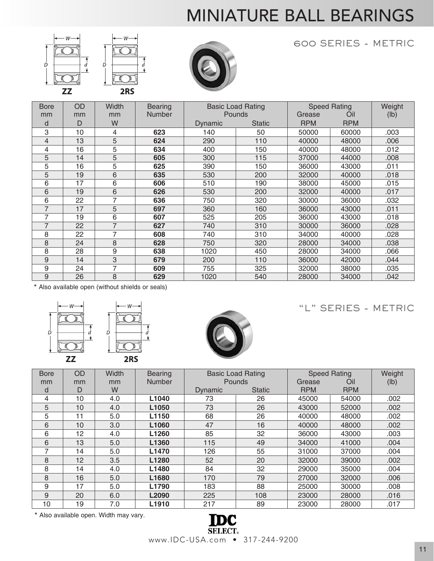# MINIATURE BALL BEARINGS







600 SERIES - METRIC

| <b>Bore</b>    | OD | Width | <b>Bearing</b> |         | <b>Basic Load Rating</b> |            | <b>Speed Rating</b> | Weight |
|----------------|----|-------|----------------|---------|--------------------------|------------|---------------------|--------|
| mm             | mm | mm    | <b>Number</b>  |         | <b>Pounds</b>            | Grease     | Oil                 | (lb)   |
| d              | D  | W     |                | Dynamic | <b>Static</b>            | <b>RPM</b> | <b>RPM</b>          |        |
| 3              | 10 | 4     | 623            | 140     | 50                       | 50000      | 60000               | .003   |
| $\overline{4}$ | 13 | 5     | 624            | 290     | 110                      | 40000      | 48000               | .006   |
| 4              | 16 | 5     | 634            | 400     | 150                      | 40000      | 48000               | .012   |
| 5              | 14 | 5     | 605            | 300     | 115                      | 37000      | 44000               | .008   |
| 5              | 16 | 5     | 625            | 390     | 150                      | 36000      | 43000               | .011   |
| 5              | 19 | 6     | 635            | 530     | 200                      | 32000      | 40000               | .018   |
| 6              | 17 | 6     | 606            | 510     | 190                      | 38000      | 45000               | .015   |
| 6              | 19 | 6     | 626            | 530     | 200                      | 32000      | 40000               | .017   |
| 6              | 22 | 7     | 636            | 750     | 320                      | 30000      | 36000               | .032   |
| $\overline{7}$ | 17 | 5     | 697            | 360     | 160                      | 36000      | 43000               | .011   |
| 7              | 19 | 6     | 607            | 525     | 205                      | 36000      | 43000               | .018   |
| $\overline{7}$ | 22 | 7     | 627            | 740     | 310                      | 30000      | 36000               | .028   |
| 8              | 22 | 7     | 608            | 740     | 310                      | 34000      | 40000               | .028   |
| 8              | 24 | 8     | 628            | 750     | 320                      | 28000      | 34000               | .038   |
| 8              | 28 | 9     | 638            | 1020    | 450                      | 28000      | 34000               | .066   |
| 9              | 14 | 3     | 679            | 200     | 110                      | 36000      | 42000               | .044   |
| 9              | 24 | 7     | 609            | 755     | 325                      | 32000      | 38000               | .035   |
| 9              | 26 | 8     | 629            | 1020    | 540                      | 28000      | 34000               | .042   |

\* Also available open (without shields or seals)







"L" SERIES - METRIC

| <b>Bore</b> | OD | Width | <b>Bearing</b> |         | <b>Basic Load Rating</b> | <b>Speed Rating</b> |            | Weight |
|-------------|----|-------|----------------|---------|--------------------------|---------------------|------------|--------|
| mm          | mm | mm    | Number         | Pounds  |                          | Grease              | Oil        | (lb)   |
| d           | D  | W     |                | Dynamic | <b>Static</b>            | <b>RPM</b>          | <b>RPM</b> |        |
| 4           | 10 | 4.0   | L1040          | 73      | 26                       | 45000               | 54000      | .002   |
| 5           | 10 | 4.0   | L1050          | 73      | 26                       | 43000               | 52000      | .002   |
| 5           | 11 | 5.0   | L1150          | 68      | 26                       | 40000               | 48000      | .002   |
| 6           | 10 | 3.0   | L1060          | 47      | 16                       | 40000               | 48000      | .002   |
| 6           | 12 | 4.0   | L1260          | 85      | 32                       | 36000               | 43000      | .003   |
| 6           | 13 | 5.0   | L1360          | 115     | 49                       | 34000               | 41000      | .004   |
| 7           | 14 | 5.0   | L1470          | 126     | 55                       | 31000               | 37000      | .004   |
| 8           | 12 | 3.5   | L1280          | 52      | 20                       | 32000               | 39000      | .002   |
| 8           | 14 | 4.0   | L1480          | 84      | 32                       | 29000               | 35000      | .004   |
| 8           | 16 | 5.0   | L1680          | 170     | 79                       | 27000               | 32000      | .006   |
| 9           | 17 | 5.0   | L1790          | 183     | 88                       | 25000               | 30000      | .008   |
| 9           | 20 | 6.0   | L2090          | 225     | 108                      | 23000               | 28000      | .016   |
| 10          | 19 | 7.0   | L1910          | 217     | 89                       | 23000               | 28000      | .017   |

\* Also available open. Width may vary.

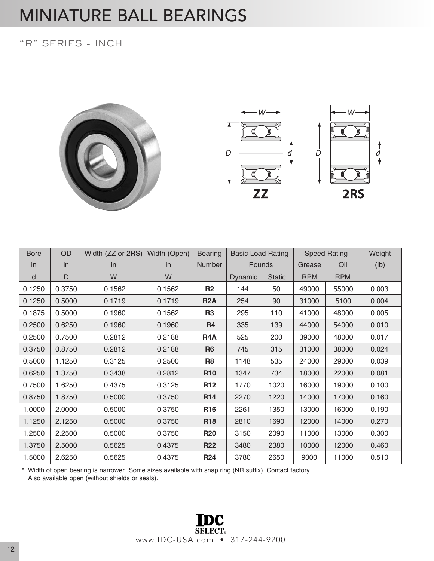### MINIATURE BALL BEARINGS

#### "R" SERIES - INCH





| <b>Bore</b> | OD     | Width (ZZ or 2RS) | Width (Open) | <b>Bearing</b>   | <b>Basic Load Rating</b> |               |            | <b>Speed Rating</b> | Weight |
|-------------|--------|-------------------|--------------|------------------|--------------------------|---------------|------------|---------------------|--------|
| in          | in     | <i>in</i>         | <i>in</i>    | Number           |                          | <b>Pounds</b> | Grease     | Oil                 | (lb)   |
| $\sf d$     | D      | W                 | W            |                  | Dynamic                  | <b>Static</b> | <b>RPM</b> | <b>RPM</b>          |        |
| 0.1250      | 0.3750 | 0.1562            | 0.1562       | R <sub>2</sub>   | 144                      | 50            | 49000      | 55000               | 0.003  |
| 0.1250      | 0.5000 | 0.1719            | 0.1719       | <b>R2A</b>       | 254                      | 90            | 31000      | 5100                | 0.004  |
| 0.1875      | 0.5000 | 0.1960            | 0.1562       | R <sub>3</sub>   | 295                      | 110           | 41000      | 48000               | 0.005  |
| 0.2500      | 0.6250 | 0.1960            | 0.1960       | <b>R4</b>        | 335                      | 139           | 44000      | 54000               | 0.010  |
| 0.2500      | 0.7500 | 0.2812            | 0.2188       | R <sub>4</sub> A | 525                      | 200           | 39000      | 48000               | 0.017  |
| 0.3750      | 0.8750 | 0.2812            | 0.2188       | R <sub>6</sub>   | 745                      | 315           | 31000      | 38000               | 0.024  |
| 0.5000      | 1.1250 | 0.3125            | 0.2500       | R <sub>8</sub>   | 1148                     | 535           | 24000      | 29000               | 0.039  |
| 0.6250      | 1.3750 | 0.3438            | 0.2812       | R <sub>10</sub>  | 1347                     | 734           | 18000      | 22000               | 0.081  |
| 0.7500      | 1.6250 | 0.4375            | 0.3125       | R <sub>12</sub>  | 1770                     | 1020          | 16000      | 19000               | 0.100  |
| 0.8750      | 1.8750 | 0.5000            | 0.3750       | R <sub>14</sub>  | 2270                     | 1220          | 14000      | 17000               | 0.160  |
| 1.0000      | 2.0000 | 0.5000            | 0.3750       | <b>R16</b>       | 2261                     | 1350          | 13000      | 16000               | 0.190  |
| 1.1250      | 2.1250 | 0.5000            | 0.3750       | <b>R18</b>       | 2810                     | 1690          | 12000      | 14000               | 0.270  |
| 1.2500      | 2.2500 | 0.5000            | 0.3750       | <b>R20</b>       | 3150                     | 2090          | 11000      | 13000               | 0.300  |
| 1.3750      | 2.5000 | 0.5625            | 0.4375       | <b>R22</b>       | 3480                     | 2380          | 10000      | 12000               | 0.460  |
| 1.5000      | 2.6250 | 0.5625            | 0.4375       | <b>R24</b>       | 3780                     | 2650          | 9000       | 11000               | 0.510  |

 \* Width of open bearing is narrower. Some sizes available with snap ring (NR suffix). Contact factory. Also available open (without shields or seals).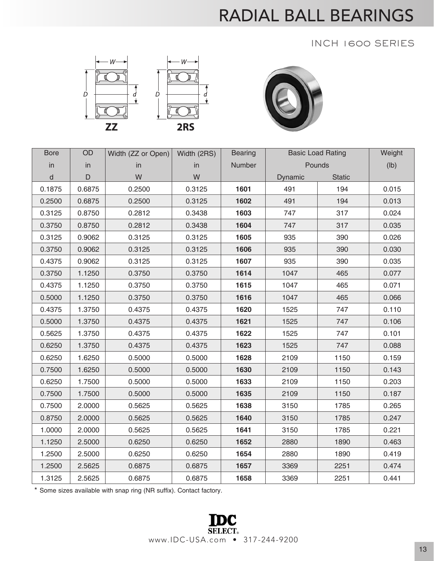### INCH 1600 SERIES





| <b>Bore</b> | OD     | Width (ZZ or Open) | Width (2RS) | <b>Bearing</b> |         | <b>Basic Load Rating</b> | Weight |
|-------------|--------|--------------------|-------------|----------------|---------|--------------------------|--------|
| in          | in     | in                 | in          | Number         |         | Pounds                   | (1b)   |
| d           | D      | W                  | W           |                | Dynamic | <b>Static</b>            |        |
| 0.1875      | 0.6875 | 0.2500             | 0.3125      | 1601           | 491     | 194                      | 0.015  |
| 0.2500      | 0.6875 | 0.2500             | 0.3125      | 1602           | 491     | 194                      | 0.013  |
| 0.3125      | 0.8750 | 0.2812             | 0.3438      | 1603           | 747     | 317                      | 0.024  |
| 0.3750      | 0.8750 | 0.2812             | 0.3438      | 1604           | 747     | 317                      | 0.035  |
| 0.3125      | 0.9062 | 0.3125             | 0.3125      | 1605           | 935     | 390                      | 0.026  |
| 0.3750      | 0.9062 | 0.3125             | 0.3125      | 1606           | 935     | 390                      | 0.030  |
| 0.4375      | 0.9062 | 0.3125             | 0.3125      | 1607           | 935     | 390                      | 0.035  |
| 0.3750      | 1.1250 | 0.3750             | 0.3750      | 1614           | 1047    | 465                      | 0.077  |
| 0.4375      | 1.1250 | 0.3750             | 0.3750      | 1615           | 1047    | 465                      | 0.071  |
| 0.5000      | 1.1250 | 0.3750             | 0.3750      | 1616           | 1047    | 465                      | 0.066  |
| 0.4375      | 1.3750 | 0.4375             | 0.4375      | 1620           | 1525    | 747                      | 0.110  |
| 0.5000      | 1.3750 | 0.4375             | 0.4375      | 1621           | 1525    | 747                      | 0.106  |
| 0.5625      | 1.3750 | 0.4375             | 0.4375      | 1622           | 1525    | 747                      | 0.101  |
| 0.6250      | 1.3750 | 0.4375             | 0.4375      | 1623           | 1525    | 747                      | 0.088  |
| 0.6250      | 1.6250 | 0.5000             | 0.5000      | 1628           | 2109    | 1150                     | 0.159  |
| 0.7500      | 1.6250 | 0.5000             | 0.5000      | 1630           | 2109    | 1150                     | 0.143  |
| 0.6250      | 1.7500 | 0.5000             | 0.5000      | 1633           | 2109    | 1150                     | 0.203  |
| 0.7500      | 1.7500 | 0.5000             | 0.5000      | 1635           | 2109    | 1150                     | 0.187  |
| 0.7500      | 2.0000 | 0.5625             | 0.5625      | 1638           | 3150    | 1785                     | 0.265  |
| 0.8750      | 2.0000 | 0.5625             | 0.5625      | 1640           | 3150    | 1785                     | 0.247  |
| 1.0000      | 2.0000 | 0.5625             | 0.5625      | 1641           | 3150    | 1785                     | 0.221  |
| 1.1250      | 2.5000 | 0.6250             | 0.6250      | 1652           | 2880    | 1890                     | 0.463  |
| 1.2500      | 2.5000 | 0.6250             | 0.6250      | 1654           | 2880    | 1890                     | 0.419  |
| 1.2500      | 2.5625 | 0.6875             | 0.6875      | 1657           | 3369    | 2251                     | 0.474  |
| 1.3125      | 2.5625 | 0.6875             | 0.6875      | 1658           | 3369    | 2251                     | 0.441  |

\* Some sizes available with snap ring (NR suffix). Contact factory.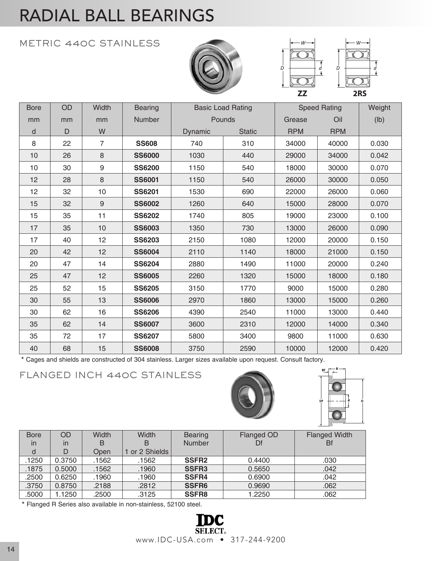### METRIC 440C STAINLESS







| <b>Bore</b> | OD. | Width            | <b>Bearing</b> |                | <b>Basic Load Rating</b> |            | <b>Speed Rating</b> | Weight          |
|-------------|-----|------------------|----------------|----------------|--------------------------|------------|---------------------|-----------------|
| mm          | mm  | mm               | Number         |                | Pounds                   | Grease     | Oil                 | $(\mathsf{lb})$ |
| d           | D   | W                |                | <b>Dynamic</b> | <b>Static</b>            | <b>RPM</b> | <b>RPM</b>          |                 |
| 8           | 22  | $\overline{7}$   | <b>SS608</b>   | 740            | 310                      | 34000      | 40000               | 0.030           |
| 10          | 26  | 8                | <b>SS6000</b>  | 1030           | 440                      | 29000      | 34000               | 0.042           |
| 10          | 30  | $\boldsymbol{9}$ | <b>SS6200</b>  | 1150           | 540                      | 18000      | 30000               | 0.070           |
| 12          | 28  | 8                | <b>SS6001</b>  | 1150           | 540                      | 26000      | 30000               | 0.050           |
| 12          | 32  | 10               | <b>SS6201</b>  | 1530           | 690                      | 22000      | 26000               | 0.060           |
| 15          | 32  | 9                | <b>SS6002</b>  | 1260           | 640                      | 15000      | 28000               | 0.070           |
| 15          | 35  | 11               | <b>SS6202</b>  | 1740           | 805                      | 19000      | 23000               | 0.100           |
| 17          | 35  | 10               | <b>SS6003</b>  | 1350           | 730                      | 13000      | 26000               | 0.090           |
| 17          | 40  | 12               | <b>SS6203</b>  | 2150           | 1080                     | 12000      | 20000               | 0.150           |
| 20          | 42  | 12               | <b>SS6004</b>  | 2110           | 1140                     | 18000      | 21000               | 0.150           |
| 20          | 47  | 14               | <b>SS6204</b>  | 2880           | 1490                     | 11000      | 20000               | 0.240           |
| 25          | 47  | 12               | <b>SS6005</b>  | 2260           | 1320                     | 15000      | 18000               | 0.180           |
| 25          | 52  | 15               | <b>SS6205</b>  | 3150           | 1770                     | 9000       | 15000               | 0.280           |
| 30          | 55  | 13               | <b>SS6006</b>  | 2970           | 1860                     | 13000      | 15000               | 0.260           |
| 30          | 62  | 16               | <b>SS6206</b>  | 4390           | 2540                     | 11000      | 13000               | 0.440           |
| 35          | 62  | 14               | <b>SS6007</b>  | 3600           | 2310                     | 12000      | 14000               | 0.340           |
| 35          | 72  | 17               | <b>SS6207</b>  | 5800           | 3400                     | 9800       | 11000               | 0.630           |
| 40          | 68  | 15               | <b>SS6008</b>  | 3750           | 2590                     | 10000      | 12000               | 0.420           |

\* Cages and shields are constructed of 304 stainless. Larger sizes available upon request. Consult factory.

### FLANGED INCH 440C STAINLESS



| <b>Bore</b> | <b>OD</b> | Width       | Width          | <b>Bearing</b>    | Flanged OD | <b>Flanged Width</b> |
|-------------|-----------|-------------|----------------|-------------------|------------|----------------------|
| in          | in        | B           | в              | <b>Number</b>     | Df         | Bf                   |
| d           | D         | <b>Open</b> | 1 or 2 Shields |                   |            |                      |
| .1250       | 0.3750    | .1562       | .1562          | <b>SSFR2</b>      | 0.4400     | .030                 |
| .1875       | 0.5000    | .1562       | .1960          | <b>SSFR3</b>      | 0.5650     | .042                 |
| .2500       | 0.6250    | .1960       | .1960          | <b>SSFR4</b>      | 0.6900     | .042                 |
| .3750       | 0.8750    | .2188       | .2812          | SSFR <sub>6</sub> | 0.9690     | .062                 |
| .5000       | 1.1250    | .2500       | .3125          | <b>SSFR8</b>      | 1.2250     | .062                 |

\* Flanged R Series also available in non-stainless, 52100 steel.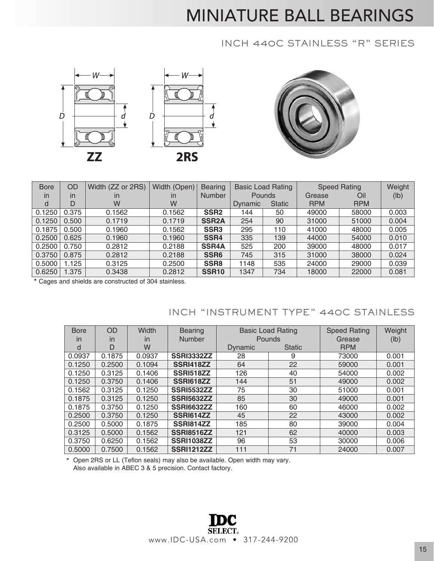## MINIATURE BALL BEARINGS

#### INCH 440C STAINLESS "R" SERIES





| <b>Bore</b> | OD    | Width (ZZ or 2RS) | Width (Open) | <b>Bearing</b>   | <b>Basic Load Rating</b> |               |            | <b>Speed Rating</b> | Weight |
|-------------|-------|-------------------|--------------|------------------|--------------------------|---------------|------------|---------------------|--------|
| in          | in    | in                | in           | <b>Number</b>    |                          | <b>Pounds</b> | Grease     | Oil                 | (lb)   |
| d           | D     | W                 | W            |                  | <b>Dynamic</b>           | <b>Static</b> | <b>RPM</b> | <b>RPM</b>          |        |
| 0.1250      | 0.375 | 0.1562            | 0.1562       | SSR <sub>2</sub> | 144                      | 50            | 49000      | 58000               | 0.003  |
| 0.1250      | 0.500 | 0.1719            | 0.1719       | <b>SSR2A</b>     | 254                      | 90            | 31000      | 51000               | 0.004  |
| 0.1875      | 0.500 | 0.1960            | 0.1562       | SSR <sub>3</sub> | 295                      | 110           | 41000      | 48000               | 0.005  |
| 0.2500      | 0.625 | 0.1960            | 0.1960       | SSR4             | 335                      | 139           | 44000      | 54000               | 0.010  |
| 0.2500      | 0.750 | 0.2812            | 0.2188       | <b>SSR4A</b>     | 525                      | 200           | 39000      | 48000               | 0.017  |
| 0.3750      | 0.875 | 0.2812            | 0.2188       | SSR <sub>6</sub> | 745                      | 315           | 31000      | 38000               | 0.024  |
| 0.5000      | 1.125 | 0.3125            | 0.2500       | SSR <sub>8</sub> | 1148                     | 535           | 24000      | 29000               | 0.039  |
| 0.6250      | 1.375 | 0.3438            | 0.2812       | <b>SSR10</b>     | 1347                     | 734           | 18000      | 22000               | 0.081  |

\* Cages and shields are constructed of 304 stainless.

### INCH "INSTRUMENT TYPE" 440C STAINLESS

| <b>Bore</b> | <b>OD</b> | <b>Width</b> | <b>Bearing</b>    |                | <b>Basic Load Rating</b> | <b>Speed Rating</b> | Weight |
|-------------|-----------|--------------|-------------------|----------------|--------------------------|---------------------|--------|
| in          | in        | in           | <b>Number</b>     | <b>Pounds</b>  |                          | Grease              | (lb)   |
| d           | D         | W            |                   | <b>Dynamic</b> | <b>Static</b>            | <b>RPM</b>          |        |
| 0.0937      | 0.1875    | 0.0937       | <b>SSRI3332ZZ</b> | 28             | 9                        | 73000               | 0.001  |
| 0.1250      | 0.2500    | 0.1094       | SSRI418ZZ         | 64             | 22                       | 59000               | 0.001  |
| 0.1250      | 0.3125    | 0.1406       | <b>SSRI518ZZ</b>  | 126            | 40                       | 54000               | 0.002  |
| 0.1250      | 0.3750    | 0.1406       | <b>SSRI618ZZ</b>  | 144            | 51                       | 49000               | 0.002  |
| 0.1562      | 0.3125    | 0.1250       | <b>SSRI5532ZZ</b> | 75             | 30                       | 51000               | 0.001  |
| 0.1875      | 0.3125    | 0.1250       | <b>SSRI5632ZZ</b> | 85             | 30                       | 49000               | 0.001  |
| 0.1875      | 0.3750    | 0.1250       | <b>SSRI6632ZZ</b> | 160            | 60                       | 46000               | 0.002  |
| 0.2500      | 0.3750    | 0.1250       | SSRI614ZZ         | 45             | 22                       | 43000               | 0.002  |
| 0.2500      | 0.5000    | 0.1875       | <b>SSRI814ZZ</b>  | 185            | 80                       | 39000               | 0.004  |
| 0.3125      | 0.5000    | 0.1562       | <b>SSRI8516ZZ</b> | 121            | 62                       | 40000               | 0.003  |
| 0.3750      | 0.6250    | 0.1562       | <b>SSRI1038ZZ</b> | 96             | 53                       | 30000               | 0.006  |
| 0.5000      | 0.7500    | 0.1562       | <b>SSRI1212ZZ</b> | 111            | 71                       | 24000               | 0.007  |

\* Open 2RS or LL (Teflon seals) may also be available. Open width may vary. Also available in ABEC 3 & 5 precision. Contact factory.